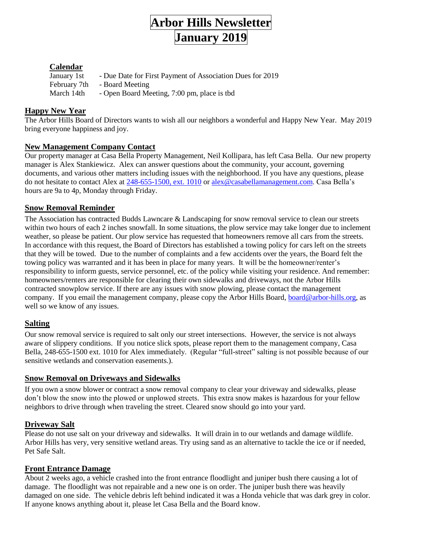

# **Calendar**

| January 1st  | - Due Date for First Payment of Association Dues for 2019 |
|--------------|-----------------------------------------------------------|
| February 7th | - Board Meeting                                           |
| March 14th   | - Open Board Meeting, 7:00 pm, place is tbd               |

# **Happy New Year**

The Arbor Hills Board of Directors wants to wish all our neighbors a wonderful and Happy New Year. May 2019 bring everyone happiness and joy.

# **New Management Company Contact**

Our property manager at Casa Bella Property Management, Neil Kollipara, has left Casa Bella. Our new property manager is Alex Stankiewicz. Alex can answer questions about the community, your account, governing documents, and various other matters including issues with the neighborhood. If you have any questions, please do not hesitate to contact Alex at [248-655-1500, ext. 1010](mailto:248-655-1500,%20ext.%201010) or [alex@casabellamanagement.com.](mailto:alex@casabellamanagement.com) Casa Bella's hours are 9a to 4p, Monday through Friday.

## **Snow Removal Reminder**

The Association has contracted Budds Lawncare & Landscaping for snow removal service to clean our streets within two hours of each 2 inches snowfall. In some situations, the plow service may take longer due to inclement weather, so please be patient. Our plow service has requested that homeowners remove all cars from the streets. In accordance with this request, the Board of Directors has established a towing policy for cars left on the streets that they will be towed. Due to the number of complaints and a few accidents over the years, the Board felt the towing policy was warranted and it has been in place for many years. It will be the homeowner/renter's responsibility to inform guests, service personnel, etc. of the policy while visiting your residence. And remember: homeowners/renters are responsible for clearing their own sidewalks and driveways, not the Arbor Hills contracted snowplow service. If there are any issues with snow plowing, please contact the management company. If you email the management company, please copy the Arbor Hills Board, [board@arbor-hills.org,](mailto:board@arbor-hills.org) as well so we know of any issues.

# **Salting**

Our snow removal service is required to salt only our street intersections. However, the service is not always aware of slippery conditions. If you notice slick spots, please report them to the management company, Casa Bella, 248-655-1500 ext. 1010 for Alex immediately. (Regular "full-street" salting is not possible because of our sensitive wetlands and conservation easements.).

# **Snow Removal on Driveways and Sidewalks**

If you own a snow blower or contract a snow removal company to clear your driveway and sidewalks, please don't blow the snow into the plowed or unplowed streets. This extra snow makes is hazardous for your fellow neighbors to drive through when traveling the street. Cleared snow should go into your yard.

# **Driveway Salt**

Please do not use salt on your driveway and sidewalks. It will drain in to our wetlands and damage wildlife. Arbor Hills has very, very sensitive wetland areas. Try using sand as an alternative to tackle the ice or if needed, Pet Safe Salt.

## **Front Entrance Damage**

About 2 weeks ago, a vehicle crashed into the front entrance floodlight and juniper bush there causing a lot of damage. The floodlight was not repairable and a new one is on order. The juniper bush there was heavily damaged on one side. The vehicle debris left behind indicated it was a Honda vehicle that was dark grey in color. If anyone knows anything about it, please let Casa Bella and the Board know.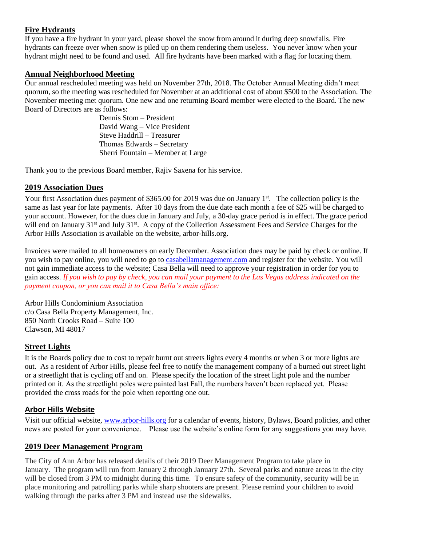# **Fire Hydrants**

If you have a fire hydrant in your yard, please shovel the snow from around it during deep snowfalls. Fire hydrants can freeze over when snow is piled up on them rendering them useless. You never know when your hydrant might need to be found and used. All fire hydrants have been marked with a flag for locating them.

## **Annual Neighborhood Meeting**

Our annual rescheduled meeting was held on November 27th, 2018. The October Annual Meeting didn't meet quorum, so the meeting was rescheduled for November at an additional cost of about \$500 to the Association. The November meeting met quorum. One new and one returning Board member were elected to the Board. The new Board of Directors are as follows:

Dennis Stom – President David Wang – Vice President Steve Haddrill – Treasurer Thomas Edwards – Secretary Sherri Fountain – Member at Large

Thank you to the previous Board member, Rajiv Saxena for his service.

## **2019 Association Dues**

Your first Association dues payment of \$365.00 for 2019 was due on January  $1<sup>st</sup>$ . The collection policy is the same as last year for late payments. After 10 days from the due date each month a fee of \$25 will be charged to your account. However, for the dues due in January and July, a 30-day grace period is in effect. The grace period will end on January 31<sup>st</sup> and July 31<sup>st</sup>. A copy of the Collection Assessment Fees and Service Charges for the Arbor Hills Association is available on the website, arbor-hills.org.

Invoices were mailed to all homeowners on early December. Association dues may be paid by check or online. If you wish to pay online, you will need to go t[o casabellamanagement.com](http://casabellamanagement.com/) and register for the website. You will not gain immediate access to the website; Casa Bella will need to approve your registration in order for you to gain access. *If you wish to pay by check, you can mail your payment to the Las Vegas address indicated on the payment coupon, or you can mail it to Casa Bella's main office:*

Arbor Hills Condominium Association c/o Casa Bella Property Management, Inc. 850 North Crooks Road – Suite 100 Clawson, MI 48017

## **Street Lights**

It is the Boards policy due to cost to repair burnt out streets lights every 4 months or when 3 or more lights are out. As a resident of Arbor Hills, please feel free to notify the management company of a burned out street light or a streetlight that is cycling off and on. Please specify the location of the street light pole and the number printed on it. As the streetlight poles were painted last Fall, the numbers haven't been replaced yet. Please provided the cross roads for the pole when reporting one out.

## **Arbor Hills Website**

Visit our official website, [www.arbor-hills.org](http://www.arbor-hills.org/) for a calendar of events, history, Bylaws, Board policies, and other news are posted for your convenience. Please use the website's online form for any suggestions you may have.

## **2019 Deer Management Program**

The City of Ann Arbor has released details of their 2019 Deer Management Program to take place in January. The program will run from January 2 through January 27th. Several parks and nature areas in the city will be closed from 3 PM to midnight during this time. To ensure safety of the community, security will be in place monitoring and patrolling parks while sharp shooters are present. Please remind your children to avoid walking through the parks after 3 PM and instead use the sidewalks.